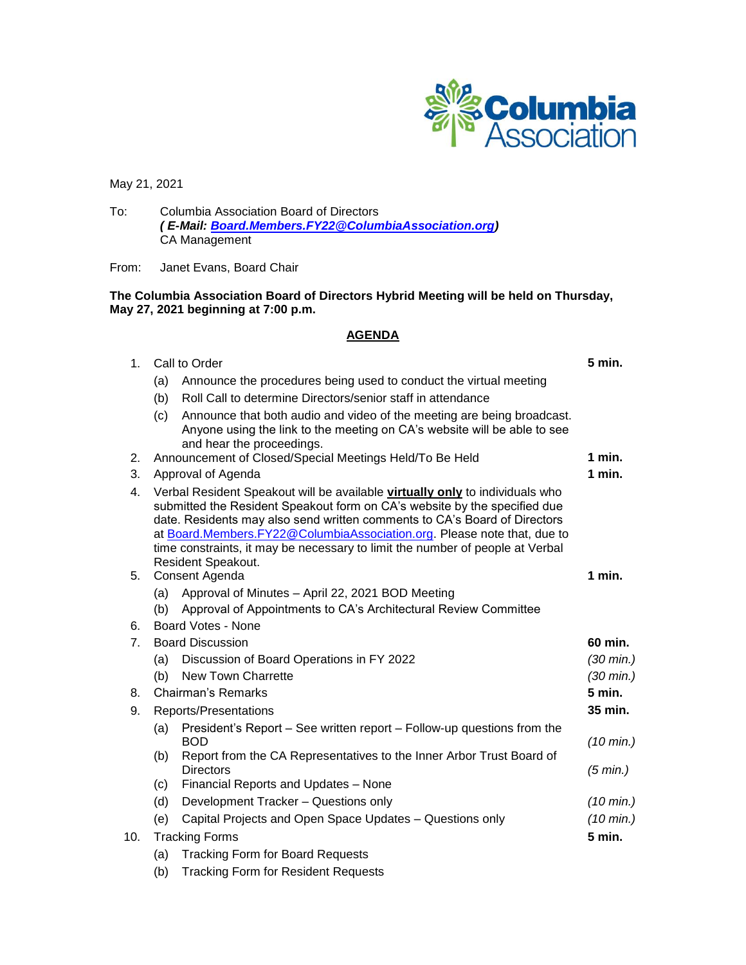

May 21, 2021

To: Columbia Association Board of Directors *( E-Mail: [Board.Members.FY22@ColumbiaAssociation.org\)](mailto:Board.Members.FY22@ColumbiaAssociation.org)* CA Management

From: Janet Evans, Board Chair

## **The Columbia Association Board of Directors Hybrid Meeting will be held on Thursday, May 27, 2021 beginning at 7:00 p.m.**

## **AGENDA**

| 1 <sub>1</sub> | Call to Order                                                                                                                                                                                                                                                                                                                                                                                                            |                                                                                                                                                                                 |                               |  |
|----------------|--------------------------------------------------------------------------------------------------------------------------------------------------------------------------------------------------------------------------------------------------------------------------------------------------------------------------------------------------------------------------------------------------------------------------|---------------------------------------------------------------------------------------------------------------------------------------------------------------------------------|-------------------------------|--|
|                | (a)                                                                                                                                                                                                                                                                                                                                                                                                                      | Announce the procedures being used to conduct the virtual meeting                                                                                                               |                               |  |
|                | (b)                                                                                                                                                                                                                                                                                                                                                                                                                      | Roll Call to determine Directors/senior staff in attendance                                                                                                                     |                               |  |
|                | (c)                                                                                                                                                                                                                                                                                                                                                                                                                      | Announce that both audio and video of the meeting are being broadcast.<br>Anyone using the link to the meeting on CA's website will be able to see<br>and hear the proceedings. |                               |  |
| 2.             |                                                                                                                                                                                                                                                                                                                                                                                                                          | Announcement of Closed/Special Meetings Held/To Be Held                                                                                                                         | 1 min.                        |  |
| 3.             | Approval of Agenda                                                                                                                                                                                                                                                                                                                                                                                                       |                                                                                                                                                                                 |                               |  |
| 4.             | Verbal Resident Speakout will be available virtually only to individuals who<br>submitted the Resident Speakout form on CA's website by the specified due<br>date. Residents may also send written comments to CA's Board of Directors<br>at Board.Members.FY22@ColumbiaAssociation.org. Please note that, due to<br>time constraints, it may be necessary to limit the number of people at Verbal<br>Resident Speakout. |                                                                                                                                                                                 |                               |  |
| 5.             | Consent Agenda                                                                                                                                                                                                                                                                                                                                                                                                           |                                                                                                                                                                                 |                               |  |
|                | (a)                                                                                                                                                                                                                                                                                                                                                                                                                      | Approval of Minutes - April 22, 2021 BOD Meeting                                                                                                                                |                               |  |
|                | (b)                                                                                                                                                                                                                                                                                                                                                                                                                      | Approval of Appointments to CA's Architectural Review Committee                                                                                                                 |                               |  |
| 6.             | Board Votes - None                                                                                                                                                                                                                                                                                                                                                                                                       |                                                                                                                                                                                 |                               |  |
| 7 <sub>1</sub> | <b>Board Discussion</b>                                                                                                                                                                                                                                                                                                                                                                                                  |                                                                                                                                                                                 |                               |  |
|                | (a)                                                                                                                                                                                                                                                                                                                                                                                                                      | Discussion of Board Operations in FY 2022                                                                                                                                       | $(30 \text{ min.})$           |  |
|                | (b)                                                                                                                                                                                                                                                                                                                                                                                                                      | New Town Charrette                                                                                                                                                              | $(30 \text{ min.})$           |  |
| 8.             |                                                                                                                                                                                                                                                                                                                                                                                                                          | Chairman's Remarks<br>5 min.                                                                                                                                                    |                               |  |
| 9.             | Reports/Presentations                                                                                                                                                                                                                                                                                                                                                                                                    |                                                                                                                                                                                 | 35 min.                       |  |
|                | (a)                                                                                                                                                                                                                                                                                                                                                                                                                      | President's Report – See written report – Follow-up questions from the<br><b>BOD</b>                                                                                            | $(10 \text{ min.})$           |  |
|                | (b)                                                                                                                                                                                                                                                                                                                                                                                                                      | Report from the CA Representatives to the Inner Arbor Trust Board of<br><b>Directors</b>                                                                                        | (5 min.)                      |  |
|                | (c)                                                                                                                                                                                                                                                                                                                                                                                                                      | Financial Reports and Updates - None                                                                                                                                            |                               |  |
|                | (d)                                                                                                                                                                                                                                                                                                                                                                                                                      | Development Tracker - Questions only                                                                                                                                            | $(10 \text{ min.})$           |  |
|                | (e)                                                                                                                                                                                                                                                                                                                                                                                                                      | Capital Projects and Open Space Updates - Questions only                                                                                                                        | $(10 \text{ min.})$<br>5 min. |  |
| 10.            | <b>Tracking Forms</b>                                                                                                                                                                                                                                                                                                                                                                                                    |                                                                                                                                                                                 |                               |  |
|                | (a)                                                                                                                                                                                                                                                                                                                                                                                                                      | <b>Tracking Form for Board Requests</b>                                                                                                                                         |                               |  |

(b) Tracking Form for Resident Requests